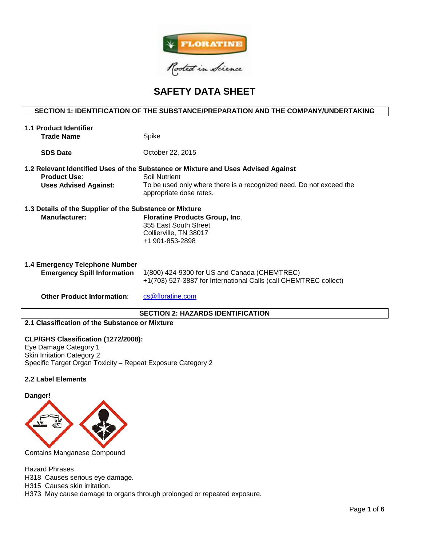

# **SAFETY DATA SHEET**

## **SECTION 1: IDENTIFICATION OF THE SUBSTANCE/PREPARATION AND THE COMPANY/UNDERTAKING**

| <b>1.1 Product Identifier</b><br>Trade Name                                     | Spike                                                                                                                                                                                                |
|---------------------------------------------------------------------------------|------------------------------------------------------------------------------------------------------------------------------------------------------------------------------------------------------|
| <b>SDS Date</b>                                                                 | October 22, 2015                                                                                                                                                                                     |
| <b>Product Use:</b><br><b>Uses Advised Against:</b>                             | 1.2 Relevant Identified Uses of the Substance or Mixture and Uses Advised Against<br>Soil Nutrient<br>To be used only where there is a recognized need. Do not exceed the<br>appropriate dose rates. |
| 1.3 Details of the Supplier of the Substance or Mixture<br><b>Manufacturer:</b> | <b>Floratine Products Group, Inc.</b><br>355 East South Street<br>Collierville, TN 38017<br>+1 901-853-2898                                                                                          |
| 1.4 Emergency Telephone Number<br><b>Emergency Spill Information</b>            | 1(800) 424-9300 for US and Canada (CHEMTREC)<br>+1(703) 527-3887 for International Calls (call CHEMTREC collect)                                                                                     |
| <b>Other Product Information:</b>                                               | cs@floratine.com                                                                                                                                                                                     |

#### **SECTION 2: HAZARDS IDENTIFICATION**

## **2.1 Classification of the Substance or Mixture**

#### **CLP/GHS Classification (1272/2008):**

Eye Damage Category 1 Skin Irritation Category 2 Specific Target Organ Toxicity – Repeat Exposure Category 2

## **2.2 Label Elements**

#### **Danger!**



Contains Manganese Compound

Hazard Phrases

H318 Causes serious eye damage.

H315 Causes skin irritation.

H373 May cause damage to organs through prolonged or repeated exposure.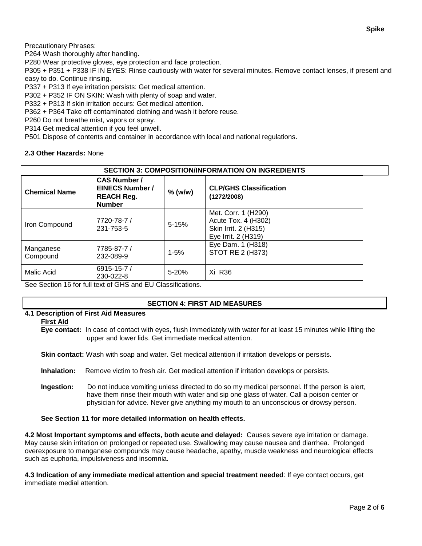Precautionary Phrases:

P264 Wash thoroughly after handling.

P280 Wear protective gloves, eye protection and face protection.

P305 + P351 + P338 IF IN EYES: Rinse cautiously with water for several minutes. Remove contact lenses, if present and easy to do. Continue rinsing.

P337 + P313 If eye irritation persists: Get medical attention.

P302 + P352 IF ON SKIN: Wash with plenty of soap and water.

P332 + P313 If skin irritation occurs: Get medical attention.

P362 + P364 Take off contaminated clothing and wash it before reuse.

P260 Do not breathe mist, vapors or spray.

P314 Get medical attention if you feel unwell.

P501 Dispose of contents and container in accordance with local and national regulations.

## **2.3 Other Hazards:** None

| <b>SECTION 3: COMPOSITION/INFORMATION ON INGREDIENTS</b> |                                                                                     |           |                                                                                           |  |  |
|----------------------------------------------------------|-------------------------------------------------------------------------------------|-----------|-------------------------------------------------------------------------------------------|--|--|
| <b>Chemical Name</b>                                     | <b>CAS Number /</b><br><b>EINECS Number /</b><br><b>REACH Reg.</b><br><b>Number</b> | $%$ (w/w) | <b>CLP/GHS Classification</b><br>(1272/2008)                                              |  |  |
| Iron Compound                                            | 7720-78-7 /<br>231-753-5                                                            | $5 - 15%$ | Met. Corr. 1 (H290)<br>Acute Tox. 4 (H302)<br>Skin Irrit. 2 (H315)<br>Eye Irrit. 2 (H319) |  |  |
| Manganese<br>Compound                                    | 7785-87-7 /<br>232-089-9                                                            | $1 - 5%$  | Eye Dam. 1 (H318)<br>STOT RE 2 (H373)                                                     |  |  |
| Malic Acid                                               | 6915-15-7 /<br>230-022-8                                                            | $5 - 20%$ | Xi R36                                                                                    |  |  |

See Section 16 for full text of GHS and EU Classifications.

#### **SECTION 4: FIRST AID MEASURES**

# **4.1 Description of First Aid Measures**

#### **First Aid**

**Eye contact:** In case of contact with eyes, flush immediately with water for at least 15 minutes while lifting the upper and lower lids. Get immediate medical attention.

**Skin contact:** Wash with soap and water. Get medical attention if irritation develops or persists.

**Inhalation:** Remove victim to fresh air. Get medical attention if irritation develops or persists.

**Ingestion:** Do not induce vomiting unless directed to do so my medical personnel. If the person is alert, have them rinse their mouth with water and sip one glass of water. Call a poison center or physician for advice. Never give anything my mouth to an unconscious or drowsy person.

#### **See Section 11 for more detailed information on health effects.**

**4.2 Most Important symptoms and effects, both acute and delayed:** Causes severe eye irritation or damage. May cause skin irritation on prolonged or repeated use. Swallowing may cause nausea and diarrhea. Prolonged overexposure to manganese compounds may cause headache, apathy, muscle weakness and neurological effects such as euphoria, impulsiveness and insomnia.

**4.3 Indication of any immediate medical attention and special treatment needed**: If eye contact occurs, get immediate medial attention.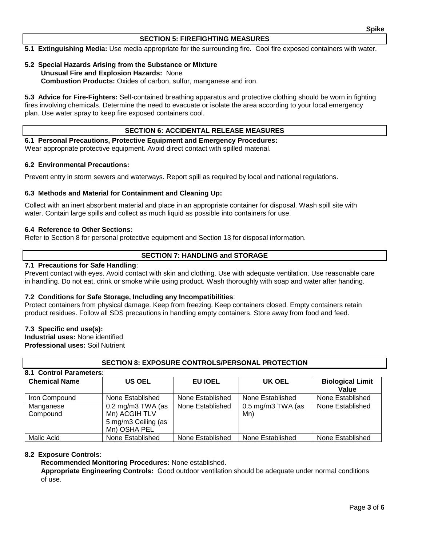#### **SECTION 5: FIREFIGHTING MEASURES**

**5.1 Extinguishing Media:** Use media appropriate for the surrounding fire. Cool fire exposed containers with water.

#### **5.2 Special Hazards Arising from the Substance or Mixture Unusual Fire and Explosion Hazards:** None **Combustion Products:** Oxides of carbon, sulfur, manganese and iron.

**5.3 Advice for Fire-Fighters:** Self-contained breathing apparatus and protective clothing should be worn in fighting fires involving chemicals. Determine the need to evacuate or isolate the area according to your local emergency plan. Use water spray to keep fire exposed containers cool.

#### **SECTION 6: ACCIDENTAL RELEASE MEASURES**

**6.1 Personal Precautions, Protective Equipment and Emergency Procedures:**  Wear appropriate protective equipment. Avoid direct contact with spilled material.

#### **6.2 Environmental Precautions:**

Prevent entry in storm sewers and waterways. Report spill as required by local and national regulations.

#### **6.3 Methods and Material for Containment and Cleaning Up:**

Collect with an inert absorbent material and place in an appropriate container for disposal. Wash spill site with water. Contain large spills and collect as much liquid as possible into containers for use.

#### **6.4 Reference to Other Sections:**

Refer to Section 8 for personal protective equipment and Section 13 for disposal information.

#### **SECTION 7: HANDLING and STORAGE**

#### **7.1 Precautions for Safe Handling**:

Prevent contact with eyes. Avoid contact with skin and clothing. Use with adequate ventilation. Use reasonable care in handling. Do not eat, drink or smoke while using product. Wash thoroughly with soap and water after handing.

#### **7.2 Conditions for Safe Storage, Including any Incompatibilities**:

Protect containers from physical damage. Keep from freezing. Keep containers closed. Empty containers retain product residues. Follow all SDS precautions in handling empty containers. Store away from food and feed.

#### **7.3 Specific end use(s):**

**Industrial uses:** None identified **Professional uses:** Soil Nutrient

| 8.1 Control Parameters: |                                                                                             |                  |                            |                                  |  |  |  |  |  |
|-------------------------|---------------------------------------------------------------------------------------------|------------------|----------------------------|----------------------------------|--|--|--|--|--|
| <b>Chemical Name</b>    | <b>US OEL</b>                                                                               | <b>EU IOEL</b>   | UK OEL                     | <b>Biological Limit</b><br>Value |  |  |  |  |  |
| Iron Compound           | None Established                                                                            | None Established | None Established           | None Established                 |  |  |  |  |  |
| Manganese<br>Compound   | $0.2 \text{ mg/m}3 \text{ TWA}$ (as<br>Mn) ACGIH TLV<br>5 mg/m3 Ceiling (as<br>Mn) OSHA PEL | None Established | $0.5$ mg/m3 TWA (as<br>Mn) | None Established                 |  |  |  |  |  |
| Malic Acid              | None Established                                                                            | None Established | None Established           | None Established                 |  |  |  |  |  |

**SECTION 8: EXPOSURE CONTROLS/PERSONAL PROTECTION**

#### **8.2 Exposure Controls:**

**Recommended Monitoring Procedures:** None established.

**Appropriate Engineering Controls:** Good outdoor ventilation should be adequate under normal conditions of use.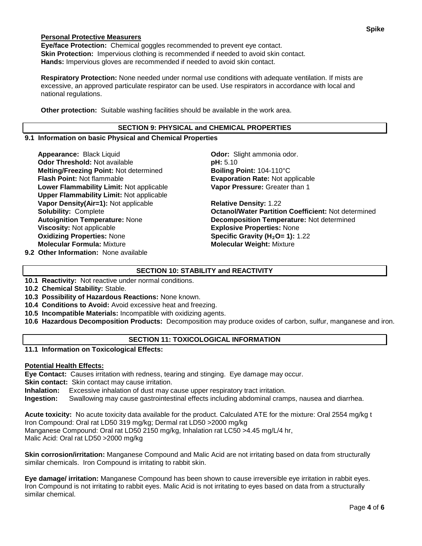## **Personal Protective Measurers**

**Eye/face Protection:** Chemical goggles recommended to prevent eye contact. **Skin Protection:** Impervious clothing is recommended if needed to avoid skin contact. **Hands:** Impervious gloves are recommended if needed to avoid skin contact.

**Respiratory Protection:** None needed under normal use conditions with adequate ventilation. If mists are excessive, an approved particulate respirator can be used. Use respirators in accordance with local and national regulations.

**Other protection:** Suitable washing facilities should be available in the work area.

#### **SECTION 9: PHYSICAL and CHEMICAL PROPERTIES**

#### **9.1 Information on basic Physical and Chemical Properties**

**Appearance:** Black Liquid **Constanting Codor:** Slight ammonia odor. **Odor Threshold:** Not available **pH:**  $5.10$ **Melting/Freezing Point: Not determined <b>Boiling Point:** 104-110°C<br>**Flash Point: Not flammable <b>Boiling Point: Evaporation Rate:** Not ap **Lower Flammability Limit:** Not applicable **Upper Flammability Limit:** Not applicable **Vapor Density(Air=1):** Not applicable **Relative Density:** 1.22 **Oxidizing Properties:** None **Specific Gravity (H2O= 1):** 1.22 **Molecular Formula:** Mixture **Molecular Weight:** Mixture

**9.2 Other Information:** None available

**Evaporation Rate: Not applicable Vapor Pressure:** Greater than 1

**Solubility:** Complete **Octanol/Water Partition Coefficient:** Not determined **Autoignition Temperature:** None **Decomposition Temperature:** Not determined **Explosive Properties: None** 

# **SECTION 10: STABILITY and REACTIVITY**

- **10.1 Reactivity:** Not reactive under normal conditions.
- **10.2 Chemical Stability:** Stable.
- **10.3 Possibility of Hazardous Reactions:** None known.
- **10.4 Conditions to Avoid:** Avoid excessive heat and freezing.
- **10.5 Incompatible Materials:** Incompatible with oxidizing agents.
- **10.6 Hazardous Decomposition Products:** Decomposition may produce oxides of carbon, sulfur, manganese and iron.

# **SECTION 11: TOXICOLOGICAL INFORMATION**

**11.1 Information on Toxicological Effects:** 

#### **Potential Health Effects:**

**Eye Contact:** Causes irritation with redness, tearing and stinging. Eye damage may occur.

**Skin contact:** Skin contact may cause irritation.

**Inhalation:** Excessive inhalation of dust may cause upper respiratory tract irritation.

**Ingestion:** Swallowing may cause gastrointestinal effects including abdominal cramps, nausea and diarrhea.

**Acute toxicity:** No acute toxicity data available for the product. Calculated ATE for the mixture: Oral 2554 mg/kg t Iron Compound: Oral rat LD50 319 mg/kg; Dermal rat LD50 >2000 mg/kg Manganese Compound: Oral rat LD50 2150 mg/kg, Inhalation rat LC50 >4.45 mg/L/4 hr, Malic Acid: Oral rat LD50 >2000 mg/kg

**Skin corrosion/irritation:** Manganese Compound and Malic Acid are not irritating based on data from structurally similar chemicals. Iron Compound is irritating to rabbit skin.

**Eye damage/ irritation:** Manganese Compound has been shown to cause irreversible eye irritation in rabbit eyes. Iron Compound is not irritating to rabbit eyes. Malic Acid is not irritating to eyes based on data from a structurally similar chemical.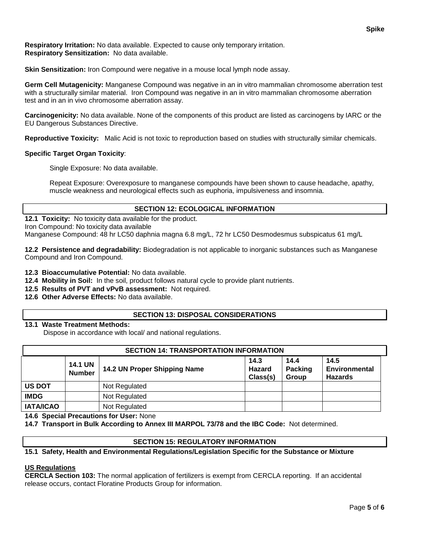**Respiratory Irritation:** No data available. Expected to cause only temporary irritation. **Respiratory Sensitization:** No data available.

**Skin Sensitization:** Iron Compound were negative in a mouse local lymph node assay.

**Germ Cell Mutagenicity:** Manganese Compound was negative in an in vitro mammalian chromosome aberration test with a structurally similar material. Iron Compound was negative in an in vitro mammalian chromosome aberration test and in an in vivo chromosome aberration assay.

**Carcinogenicity:** No data available. None of the components of this product are listed as carcinogens by IARC or the EU Dangerous Substances Directive.

**Reproductive Toxicity:** Malic Acid is not toxic to reproduction based on studies with structurally similar chemicals.

## **Specific Target Organ Toxicity**:

Single Exposure: No data available.

Repeat Exposure: Overexposure to manganese compounds have been shown to cause headache, apathy, muscle weakness and neurological effects such as euphoria, impulsiveness and insomnia.

## **SECTION 12: ECOLOGICAL INFORMATION**

**12.1 Toxicity:** No toxicity data available for the product. Iron Compound: No toxicity data available

Manganese Compound: 48 hr LC50 daphnia magna 6.8 mg/L, 72 hr LC50 Desmodesmus subspicatus 61 mg/L

**12.2 Persistence and degradability:** Biodegradation is not applicable to inorganic substances such as Manganese Compound and Iron Compound.

**12.3 Bioaccumulative Potential:** No data available.

**12.4 Mobility in Soil:** In the soil, product follows natural cycle to provide plant nutrients.

**12.5 Results of PVT and vPvB assessment:** Not required.

**12.6 Other Adverse Effects:** No data available.

# **SECTION 13: DISPOSAL CONSIDERATIONS**

#### **13.1 Waste Treatment Methods:**

Dispose in accordance with local/ and national regulations.

| <b>SECTION 14: TRANSPORTATION INFORMATION</b> |                                 |                              |                                   |                                 |                                         |  |
|-----------------------------------------------|---------------------------------|------------------------------|-----------------------------------|---------------------------------|-----------------------------------------|--|
|                                               | <b>14.1 UN</b><br><b>Number</b> | 14.2 UN Proper Shipping Name | 14.3<br><b>Hazard</b><br>Class(s) | 14.4<br>Packing<br><b>Group</b> | 14.5<br>Environmental<br><b>Hazards</b> |  |
| <b>US DOT</b>                                 |                                 | Not Regulated                |                                   |                                 |                                         |  |
| <b>IMDG</b>                                   |                                 | Not Regulated                |                                   |                                 |                                         |  |
| <b>IATA/ICAO</b>                              |                                 | Not Regulated                |                                   |                                 |                                         |  |

**14.6 Special Precautions for User:** None

**14.7 Transport in Bulk According to Annex III MARPOL 73/78 and the IBC Code:** Not determined.

#### **SECTION 15: REGULATORY INFORMATION**

#### **15.1 Safety, Health and Environmental Regulations/Legislation Specific for the Substance or Mixture**

#### **US Regulations**

**CERCLA Section 103:** The normal application of fertilizers is exempt from CERCLA reporting. If an accidental release occurs, contact Floratine Products Group for information.